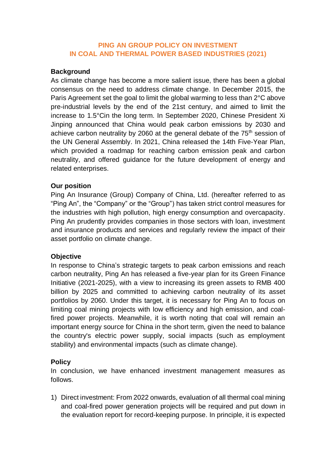## **PING AN GROUP POLICY ON INVESTMENT IN COAL AND THERMAL POWER BASED INDUSTRIES (2021)**

### **Background**

As climate change has become a more salient issue, there has been a global consensus on the need to address climate change. In December 2015, the Paris Agreement set the goal to limit the global warming to less than 2°C above pre-industrial levels by the end of the 21st century, and aimed to limit the increase to 1.5°Cin the long term. In September 2020, Chinese President Xi Jinping announced that China would peak carbon emissions by 2030 and achieve carbon neutrality by 2060 at the general debate of the 75<sup>th</sup> session of the UN General Assembly. In 2021, China released the 14th Five-Year Plan, which provided a roadmap for reaching carbon emission peak and carbon neutrality, and offered guidance for the future development of energy and related enterprises.

## **Our position**

Ping An Insurance (Group) Company of China, Ltd. (hereafter referred to as "Ping An", the "Company" or the "Group") has taken strict control measures for the industries with high pollution, high energy consumption and overcapacity. Ping An prudently provides companies in those sectors with loan, investment and insurance products and services and regularly review the impact of their asset portfolio on climate change.

#### **Objective**

In response to China's strategic targets to peak carbon emissions and reach carbon neutrality, Ping An has released a five-year plan for its Green Finance Initiative (2021-2025), with a view to increasing its green assets to RMB 400 billion by 2025 and committed to achieving carbon neutrality of its asset portfolios by 2060. Under this target, it is necessary for Ping An to focus on limiting coal mining projects with low efficiency and high emission, and coalfired power projects. Meanwhile, it is worth noting that coal will remain an important energy source for China in the short term, given the need to balance the country's electric power supply, social impacts (such as employment stability) and environmental impacts (such as climate change).

# **Policy**

In conclusion, we have enhanced investment management measures as follows.

1) Direct investment: From 2022 onwards, evaluation of all thermal coal mining and coal-fired power generation projects will be required and put down in the evaluation report for record-keeping purpose. In principle, it is expected